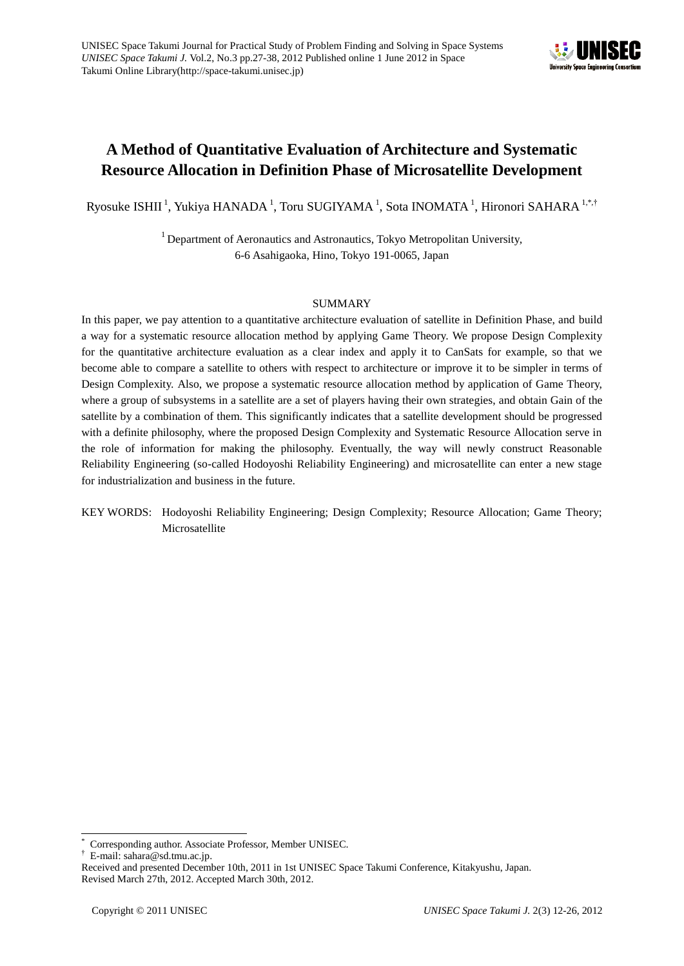

# **A Method of Quantitative Evaluation of Architecture and Systematic Resource Allocation in Definition Phase of Microsatellite Development**

Ryosuke ISHII<sup>1</sup>, Yukiya HANADA<sup>1</sup>, Toru SUGIYAMA<sup>1</sup>, Sota INOMATA<sup>1</sup>, Hironori SAHARA<sup>1,\*,†</sup>

 $1$  Department of Aeronautics and Astronautics, Tokyo Metropolitan University, 6-6 Asahigaoka, Hino, Tokyo 191-0065, Japan

# SUMMARY

In this paper, we pay attention to a quantitative architecture evaluation of satellite in Definition Phase, and build a way for a systematic resource allocation method by applying Game Theory. We propose Design Complexity for the quantitative architecture evaluation as a clear index and apply it to CanSats for example, so that we become able to compare a satellite to others with respect to architecture or improve it to be simpler in terms of Design Complexity. Also, we propose a systematic resource allocation method by application of Game Theory, where a group of subsystems in a satellite are a set of players having their own strategies, and obtain Gain of the satellite by a combination of them. This significantly indicates that a satellite development should be progressed with a definite philosophy, where the proposed Design Complexity and Systematic Resource Allocation serve in the role of information for making the philosophy. Eventually, the way will newly construct Reasonable Reliability Engineering (so-called Hodoyoshi Reliability Engineering) and microsatellite can enter a new stage for industrialization and business in the future.

# KEY WORDS: Hodoyoshi Reliability Engineering; Design Complexity; Resource Allocation; Game Theory; Microsatellite

l

<sup>\*</sup> Corresponding author. Associate Professor, Member UNISEC.

<sup>†</sup> E-mail: sahara@sd.tmu.ac.jp.

Received and presented December 10th, 2011 in 1st UNISEC Space Takumi Conference, Kitakyushu, Japan. Revised March 27th, 2012. Accepted March 30th, 2012.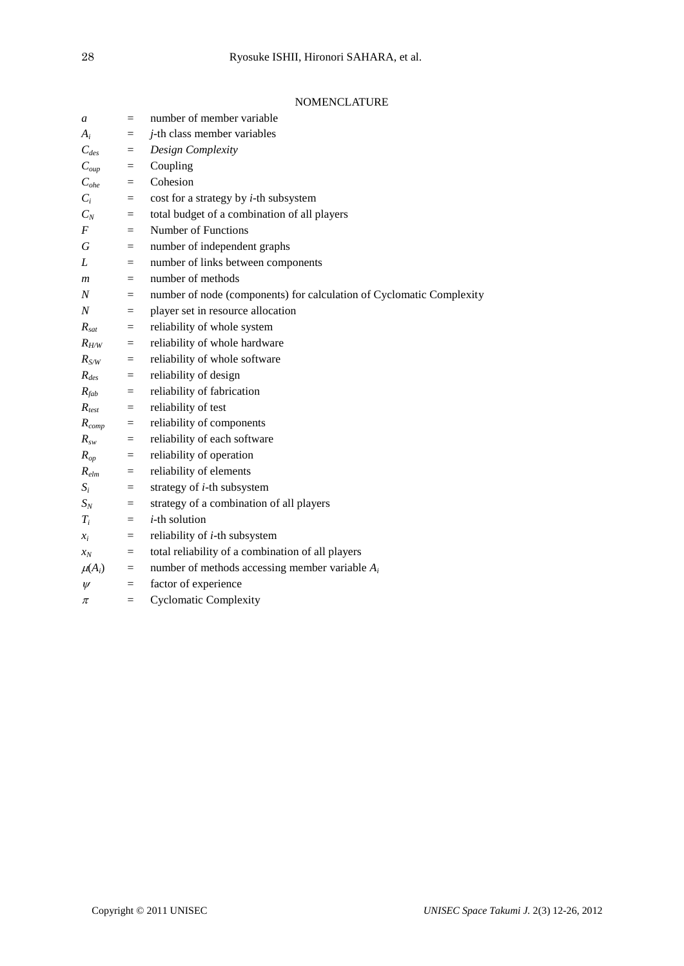# NOMENCLATURE

| a                  | $=$                     | number of member variable                                            |
|--------------------|-------------------------|----------------------------------------------------------------------|
| $A_i$              | $=$                     | <i>j</i> -th class member variables                                  |
| $C_{des}$          | $=$                     | Design Complexity                                                    |
| $C_{\mathit{oup}}$ | $=$                     | Coupling                                                             |
| $C_{\textit{ohe}}$ | $=$                     | Cohesion                                                             |
| $C_i$              | $=$                     | cost for a strategy by $i$ -th subsystem                             |
| $C_N$              | $\equiv$                | total budget of a combination of all players                         |
| $\boldsymbol{F}$   | $=$                     | Number of Functions                                                  |
| G                  | $=$                     | number of independent graphs                                         |
| L                  | $=$                     | number of links between components                                   |
| $\mathfrak{m}$     | $=$                     | number of methods                                                    |
| N                  | $=$                     | number of node (components) for calculation of Cyclomatic Complexity |
| $\boldsymbol{N}$   | $=$                     | player set in resource allocation                                    |
| $R_{sat}$          | $\equiv$                | reliability of whole system                                          |
| $R_{H/W}$          | $=$                     | reliability of whole hardware                                        |
| $R_{S/W}$          | $\equiv$                | reliability of whole software                                        |
| $R_{des}$          | $=$                     | reliability of design                                                |
| $R_{fab}$          | $=$                     | reliability of fabrication                                           |
| $R_{test}$         | $\equiv$                | reliability of test                                                  |
| $R_{comp}$         | $=$                     | reliability of components                                            |
| $R_{sw}$           | $\qquad \qquad =\qquad$ | reliability of each software                                         |
| $R_{op}$           | $=$                     | reliability of operation                                             |
| $R_{elm}$          | $\equiv$                | reliability of elements                                              |
| $S_i$              | $=$                     | strategy of $i$ -th subsystem                                        |
| $S_N$              | $=$                     | strategy of a combination of all players                             |
| $T_i$              | $\equiv$                | $i$ -th solution                                                     |
| $x_i$              | $=$                     | reliability of <i>i</i> -th subsystem                                |
| $x_N$              | $\equiv$                | total reliability of a combination of all players                    |
| $\mu(A_i)$         | $=$                     | number of methods accessing member variable $A_i$                    |
| $\psi$             | $=$                     | factor of experience                                                 |
| π                  | $=$                     | <b>Cyclomatic Complexity</b>                                         |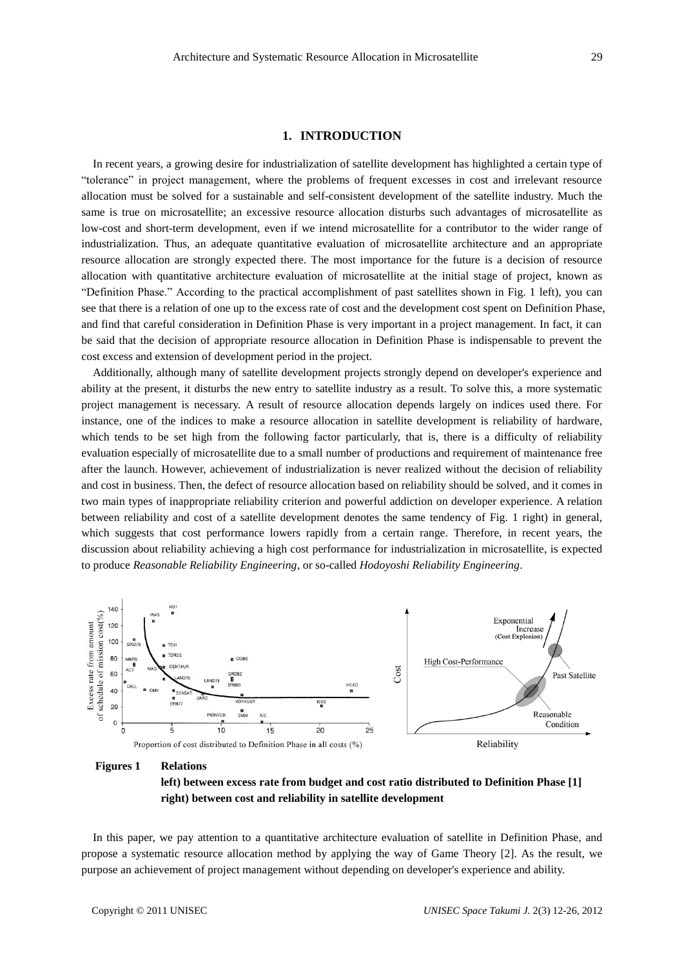# **1. INTRODUCTION**

In recent years, a growing desire for industrialization of satellite development has highlighted a certain type of "tolerance" in project management, where the problems of frequent excesses in cost and irrelevant resource allocation must be solved for a sustainable and self-consistent development of the satellite industry. Much the same is true on microsatellite; an excessive resource allocation disturbs such advantages of microsatellite as low-cost and short-term development, even if we intend microsatellite for a contributor to the wider range of industrialization. Thus, an adequate quantitative evaluation of microsatellite architecture and an appropriate resource allocation are strongly expected there. The most importance for the future is a decision of resource allocation with quantitative architecture evaluation of microsatellite at the initial stage of project, known as "Definition Phase." According to the practical accomplishment of past satellites shown in Fig. 1 left), you can see that there is a relation of one up to the excess rate of cost and the development cost spent on Definition Phase, and find that careful consideration in Definition Phase is very important in a project management. In fact, it can be said that the decision of appropriate resource allocation in Definition Phase is indispensable to prevent the cost excess and extension of development period in the project.

Additionally, although many of satellite development projects strongly depend on developer's experience and ability at the present, it disturbs the new entry to satellite industry as a result. To solve this, a more systematic project management is necessary. A result of resource allocation depends largely on indices used there. For instance, one of the indices to make a resource allocation in satellite development is reliability of hardware, which tends to be set high from the following factor particularly, that is, there is a difficulty of reliability evaluation especially of microsatellite due to a small number of productions and requirement of maintenance free after the launch. However, achievement of industrialization is never realized without the decision of reliability and cost in business. Then, the defect of resource allocation based on reliability should be solved, and it comes in two main types of inappropriate reliability criterion and powerful addiction on developer experience. A relation between reliability and cost of a satellite development denotes the same tendency of Fig. 1 right) in general, which suggests that cost performance lowers rapidly from a certain range. Therefore, in recent years, the discussion about reliability achieving a high cost performance for industrialization in microsatellite, is expected to produce *Reasonable Reliability Engineering*, or so-called *Hodoyoshi Reliability Engineering*.



#### **Figures 1 Relations**

**left) between excess rate from budget and cost ratio distributed to Definition Phase [1] right) between cost and reliability in satellite development**

In this paper, we pay attention to a quantitative architecture evaluation of satellite in Definition Phase, and propose a systematic resource allocation method by applying the way of Game Theory [2]. As the result, we purpose an achievement of project management without depending on developer's experience and ability.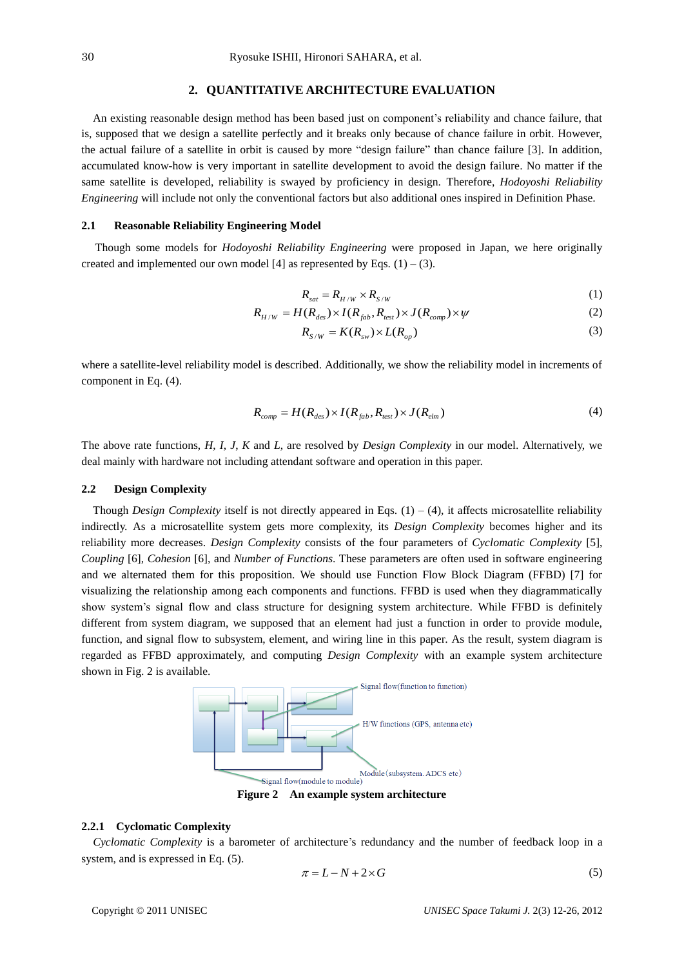#### **2. QUANTITATIVE ARCHITECTURE EVALUATION**

An existing reasonable design method has been based just on component's reliability and chance failure, that is, supposed that we design a satellite perfectly and it breaks only because of chance failure in orbit. However, the actual failure of a satellite in orbit is caused by more "design failure" than chance failure [3]. In addition, accumulated know-how is very important in satellite development to avoid the design failure. No matter if the same satellite is developed, reliability is swayed by proficiency in design. Therefore, *Hodoyoshi Reliability Engineering* will include not only the conventional factors but also additional ones inspired in Definition Phase.

#### **2.1 Reasonable Reliability Engineering Model**

Though some models for *Hodoyoshi Reliability Engineering* were proposed in Japan, we here originally created and implemented our own model [4] as represented by Eqs.  $(1) - (3)$ .

$$
R_{sat} = R_{H/W} \times R_{S/W} \tag{1}
$$

$$
R_{H/W} = H(R_{des}) \times I(R_{fab}, R_{test}) \times J(R_{comp}) \times \psi
$$
\n(2)

$$
R_{S/W} = K(R_{sw}) \times L(R_{op})
$$
\n(3)

where a satellite-level reliability model is described. Additionally, we show the reliability model in increments of component in Eq. (4).

$$
R_{comp} = H(R_{des}) \times I(R_{fab}, R_{test}) \times J(R_{elm})
$$
\n<sup>(4)</sup>

The above rate functions, *H*, *I*, *J*, *K* and *L*, are resolved by *Design Complexity* in our model. Alternatively, we deal mainly with hardware not including attendant software and operation in this paper.

#### **2.2 Design Complexity**

Though *Design Complexity* itself is not directly appeared in Eqs.  $(1) - (4)$ , it affects microsatellite reliability indirectly. As a microsatellite system gets more complexity, its *Design Complexity* becomes higher and its reliability more decreases. *Design Complexity* consists of the four parameters of *Cyclomatic Complexity* [5], *Coupling* [6], *Cohesion* [6], and *Number of Functions*. These parameters are often used in software engineering and we alternated them for this proposition. We should use Function Flow Block Diagram (FFBD) [7] for visualizing the relationship among each components and functions. FFBD is used when they diagrammatically show system's signal flow and class structure for designing system architecture. While FFBD is definitely different from system diagram, we supposed that an element had just a function in order to provide module, function, and signal flow to subsystem, element, and wiring line in this paper. As the result, system diagram is regarded as FFBD approximately, and computing *Design Complexity* with an example system architecture shown in Fig. 2 is available.



**Figure 2 An example system architecture**

#### **2.2.1 Cyclomatic Complexity**

 *Cyclomatic Complexity* is a barometer of architecture's redundancy and the number of feedback loop in a system, and is expressed in Eq. (5).

$$
\pi = L - N + 2 \times G \tag{5}
$$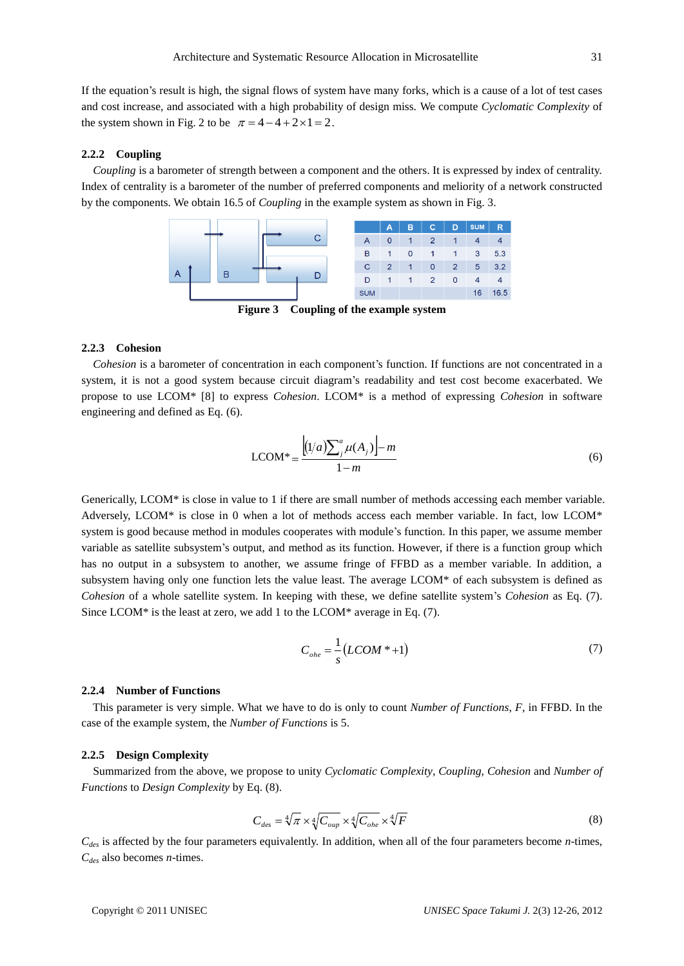If the equation's result is high, the signal flows of system have many forks, which is a cause of a lot of test cases and cost increase, and associated with a high probability of design miss. We compute *Cyclomatic Complexity* of the system shown in Fig. 2 to be  $\pi = 4 - 4 + 2 \times 1 = 2$ .

#### **2.2.2 Coupling**

 *Coupling* is a barometer of strength between a component and the others. It is expressed by index of centrality. Index of centrality is a barometer of the number of preferred components and meliority of a network constructed by the components. We obtain 16.5 of *Coupling* in the example system as shown in Fig. 3.



**Figure 3 Coupling of the example system**

#### **2.2.3 Cohesion**

 *Cohesion* is a barometer of concentration in each component's function. If functions are not concentrated in a system, it is not a good system because circuit diagram's readability and test cost become exacerbated. We propose to use LCOM\* [8] to express *Cohesion*. LCOM\* is a method of expressing *Cohesion* in software engineering and defined as Eq. (6).

$$
LCOM^* = \frac{\left[ (1/a) \sum_{j}^{a} \mu(A_j) \right] - m}{1 - m}
$$
\n(6)

Generically, LCOM\* is close in value to 1 if there are small number of methods accessing each member variable. Adversely, LCOM\* is close in 0 when a lot of methods access each member variable. In fact, low LCOM\* system is good because method in modules cooperates with module's function. In this paper, we assume member variable as satellite subsystem's output, and method as its function. However, if there is a function group which has no output in a subsystem to another, we assume fringe of FFBD as a member variable. In addition, a subsystem having only one function lets the value least. The average LCOM\* of each subsystem is defined as *Cohesion* of a whole satellite system. In keeping with these, we define satellite system's *Cohesion* as Eq. (7). Since LCOM\* is the least at zero, we add 1 to the LCOM\* average in Eq. (7).

$$
C_{\text{one}} = \frac{1}{s} (LCOM * + 1) \tag{7}
$$

#### **2.2.4 Number of Functions**

 This parameter is very simple. What we have to do is only to count *Number of Functions*, *F*, in FFBD. In the case of the example system, the *Number of Functions* is 5.

#### **2.2.5 Design Complexity**

 Summarized from the above, we propose to unity *Cyclomatic Complexity*, *Coupling*, *Cohesion* and *Number of Functions* to *Design Complexity* by Eq. (8).

$$
C_{des} = \sqrt[4]{\pi} \times \sqrt[4]{C_{oup}} \times \sqrt[4]{C_{obe}} \times \sqrt[4]{F}
$$
 (8)

*Cdes* is affected by the four parameters equivalently. In addition, when all of the four parameters become *n*-times, *Cdes* also becomes *n*-times.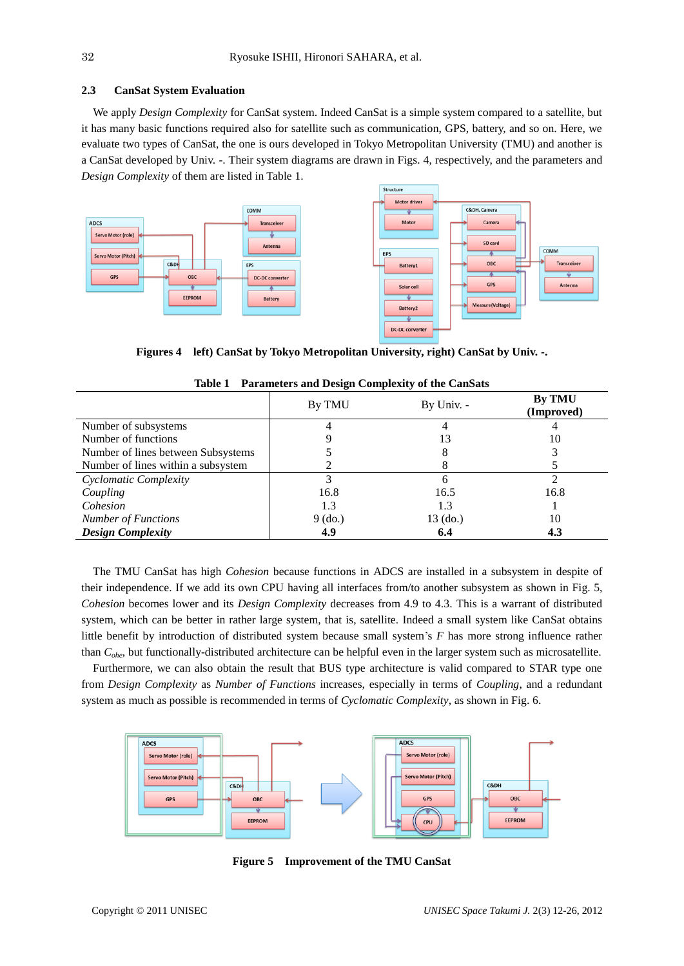#### **2.3 CanSat System Evaluation**

 We apply *Design Complexity* for CanSat system. Indeed CanSat is a simple system compared to a satellite, but it has many basic functions required also for satellite such as communication, GPS, battery, and so on. Here, we evaluate two types of CanSat, the one is ours developed in Tokyo Metropolitan University (TMU) and another is a CanSat developed by Univ. -. Their system diagrams are drawn in Figs. 4, respectively, and the parameters and *Design Complexity* of them are listed in Table 1.





**Figures 4 left) CanSat by Tokyo Metropolitan University, right) CanSat by Univ. -.**

|                                    | ັ<br>By TMU | By Univ. - | By TMU<br>(Improved) |
|------------------------------------|-------------|------------|----------------------|
| Number of subsystems               |             |            |                      |
| Number of functions                |             |            | 10                   |
| Number of lines between Subsystems |             |            |                      |
| Number of lines within a subsystem |             |            |                      |
| Cyclomatic Complexity              |             |            |                      |
| Coupling                           | 16.8        | 16.5       | 16.8                 |
| Cohesion                           | 1.3         | 1.3        |                      |
| <b>Number of Functions</b>         | $9$ (do.)   | 13 (do.)   | 10                   |
| <b>Design Complexity</b>           | 4.9         | 6.4        | 4.3                  |

**Table 1 Parameters and Design Complexity of the CanSats**

 The TMU CanSat has high *Cohesion* because functions in ADCS are installed in a subsystem in despite of their independence. If we add its own CPU having all interfaces from/to another subsystem as shown in Fig. 5, *Cohesion* becomes lower and its *Design Complexity* decreases from 4.9 to 4.3. This is a warrant of distributed system, which can be better in rather large system, that is, satellite. Indeed a small system like CanSat obtains little benefit by introduction of distributed system because small system's *F* has more strong influence rather than *Cohe*, but functionally-distributed architecture can be helpful even in the larger system such as microsatellite.

Furthermore, we can also obtain the result that BUS type architecture is valid compared to STAR type one from *Design Complexity* as *Number of Functions* increases, especially in terms of *Coupling*, and a redundant system as much as possible is recommended in terms of *Cyclomatic Complexity*, as shown in Fig. 6.



**Figure 5 Improvement of the TMU CanSat**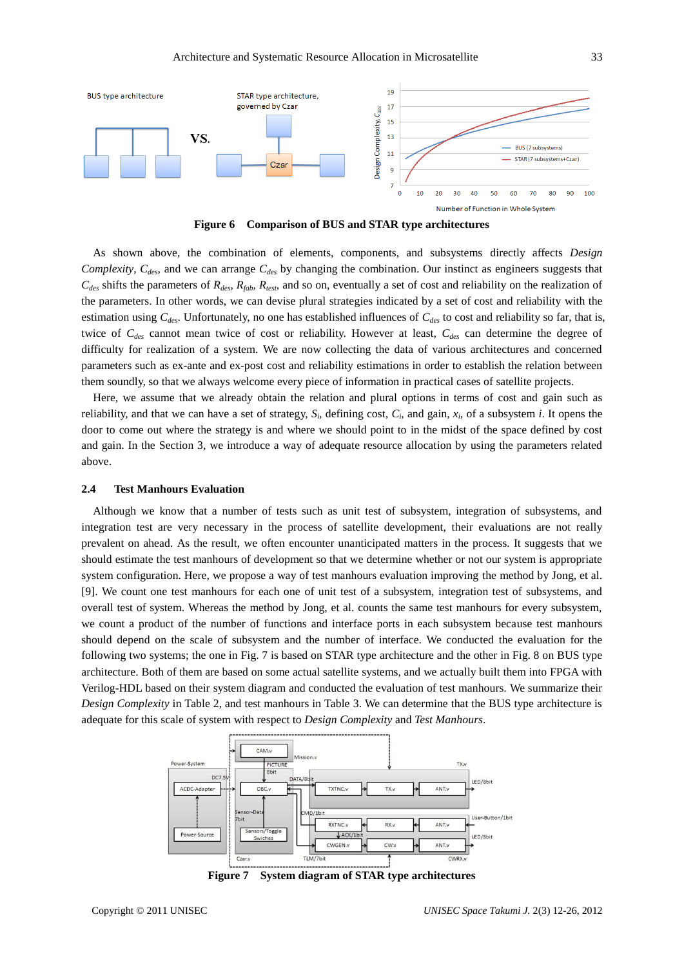

**Figure 6 Comparison of BUS and STAR type architectures**

 As shown above, the combination of elements, components, and subsystems directly affects *Design Complexity*, *Cdes*, and we can arrange *Cdes* by changing the combination. Our instinct as engineers suggests that  $C_{des}$  shifts the parameters of  $R_{des}$ ,  $R_{fab}$ ,  $R_{test}$ , and so on, eventually a set of cost and reliability on the realization of the parameters. In other words, we can devise plural strategies indicated by a set of cost and reliability with the estimation using *Cdes*. Unfortunately, no one has established influences of *Cdes* to cost and reliability so far, that is, twice of *Cdes* cannot mean twice of cost or reliability. However at least, *Cdes* can determine the degree of difficulty for realization of a system. We are now collecting the data of various architectures and concerned parameters such as ex-ante and ex-post cost and reliability estimations in order to establish the relation between them soundly, so that we always welcome every piece of information in practical cases of satellite projects.

 Here, we assume that we already obtain the relation and plural options in terms of cost and gain such as reliability, and that we can have a set of strategy,  $S_i$ , defining cost,  $C_i$ , and gain,  $x_i$ , of a subsystem *i*. It opens the door to come out where the strategy is and where we should point to in the midst of the space defined by cost and gain. In the Section 3, we introduce a way of adequate resource allocation by using the parameters related above.

#### **2.4 Test Manhours Evaluation**

 Although we know that a number of tests such as unit test of subsystem, integration of subsystems, and integration test are very necessary in the process of satellite development, their evaluations are not really prevalent on ahead. As the result, we often encounter unanticipated matters in the process. It suggests that we should estimate the test manhours of development so that we determine whether or not our system is appropriate system configuration. Here, we propose a way of test manhours evaluation improving the method by Jong, et al. [9]. We count one test manhours for each one of unit test of a subsystem, integration test of subsystems, and overall test of system. Whereas the method by Jong, et al. counts the same test manhours for every subsystem, we count a product of the number of functions and interface ports in each subsystem because test manhours should depend on the scale of subsystem and the number of interface. We conducted the evaluation for the following two systems; the one in Fig. 7 is based on STAR type architecture and the other in Fig. 8 on BUS type architecture. Both of them are based on some actual satellite systems, and we actually built them into FPGA with Verilog-HDL based on their system diagram and conducted the evaluation of test manhours. We summarize their *Design Complexity* in Table 2, and test manhours in Table 3. We can determine that the BUS type architecture is adequate for this scale of system with respect to *Design Complexity* and *Test Manhours*.



**Figure 7 System diagram of STAR type architectures**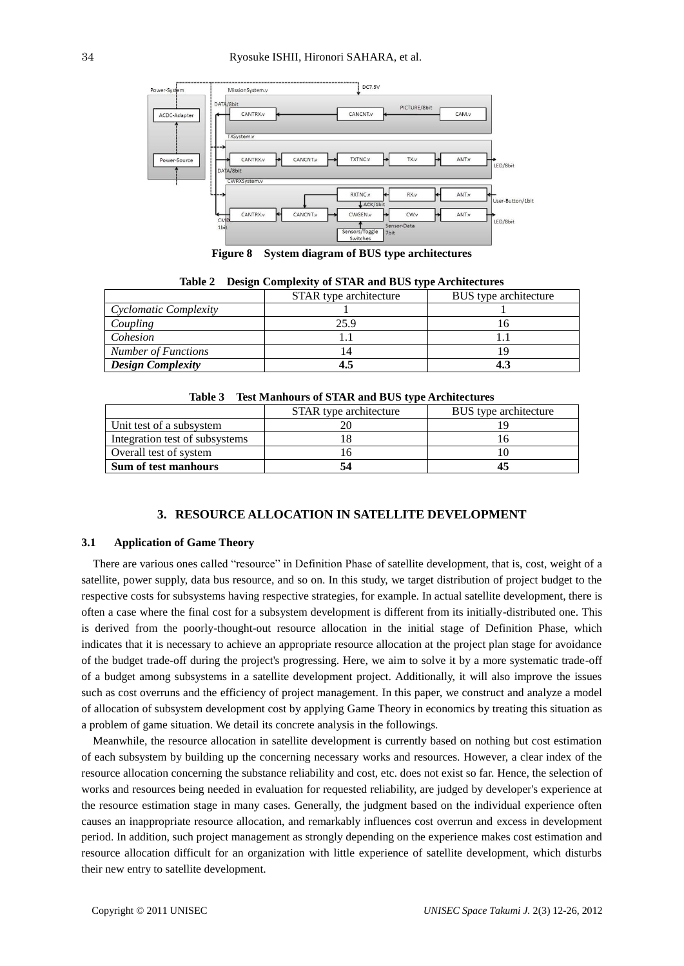

**Figure 8 System diagram of BUS type architectures**

| 14.JIC 2<br><b>Design Complexity of String and Design cype intendedual</b> |                        |                       |  |  |  |  |  |  |  |
|----------------------------------------------------------------------------|------------------------|-----------------------|--|--|--|--|--|--|--|
|                                                                            | STAR type architecture | BUS type architecture |  |  |  |  |  |  |  |
| Cyclomatic Complexity                                                      |                        |                       |  |  |  |  |  |  |  |
| Coupling                                                                   | 25.9                   |                       |  |  |  |  |  |  |  |
| Cohesion                                                                   |                        |                       |  |  |  |  |  |  |  |
| <b>Number of Functions</b>                                                 |                        |                       |  |  |  |  |  |  |  |
| <b>Design Complexity</b>                                                   |                        |                       |  |  |  |  |  |  |  |

|  |  | Table 2 Design Complexity of STAR and BUS type Architectures |  |
|--|--|--------------------------------------------------------------|--|
|  |  |                                                              |  |

|  | Table 3 Test Manhours of STAR and BUS type Architectures |  |  |  |
|--|----------------------------------------------------------|--|--|--|
|--|----------------------------------------------------------|--|--|--|

|                                | STAR type architecture | BUS type architecture |
|--------------------------------|------------------------|-----------------------|
| Unit test of a subsystem       |                        |                       |
| Integration test of subsystems |                        |                       |
| Overall test of system         |                        |                       |
| <b>Sum of test manhours</b>    |                        |                       |

#### **3. RESOURCE ALLOCATION IN SATELLITE DEVELOPMENT**

#### **3.1 Application of Game Theory**

There are various ones called "resource" in Definition Phase of satellite development, that is, cost, weight of a satellite, power supply, data bus resource, and so on. In this study, we target distribution of project budget to the respective costs for subsystems having respective strategies, for example. In actual satellite development, there is often a case where the final cost for a subsystem development is different from its initially-distributed one. This is derived from the poorly-thought-out resource allocation in the initial stage of Definition Phase, which indicates that it is necessary to achieve an appropriate resource allocation at the project plan stage for avoidance of the budget trade-off during the project's progressing. Here, we aim to solve it by a more systematic trade-off of a budget among subsystems in a satellite development project. Additionally, it will also improve the issues such as cost overruns and the efficiency of project management. In this paper, we construct and analyze a model of allocation of subsystem development cost by applying Game Theory in economics by treating this situation as a problem of game situation. We detail its concrete analysis in the followings.

Meanwhile, the resource allocation in satellite development is currently based on nothing but cost estimation of each subsystem by building up the concerning necessary works and resources. However, a clear index of the resource allocation concerning the substance reliability and cost, etc. does not exist so far. Hence, the selection of works and resources being needed in evaluation for requested reliability, are judged by developer's experience at the resource estimation stage in many cases. Generally, the judgment based on the individual experience often causes an inappropriate resource allocation, and remarkably influences cost overrun and excess in development period. In addition, such project management as strongly depending on the experience makes cost estimation and resource allocation difficult for an organization with little experience of satellite development, which disturbs their new entry to satellite development.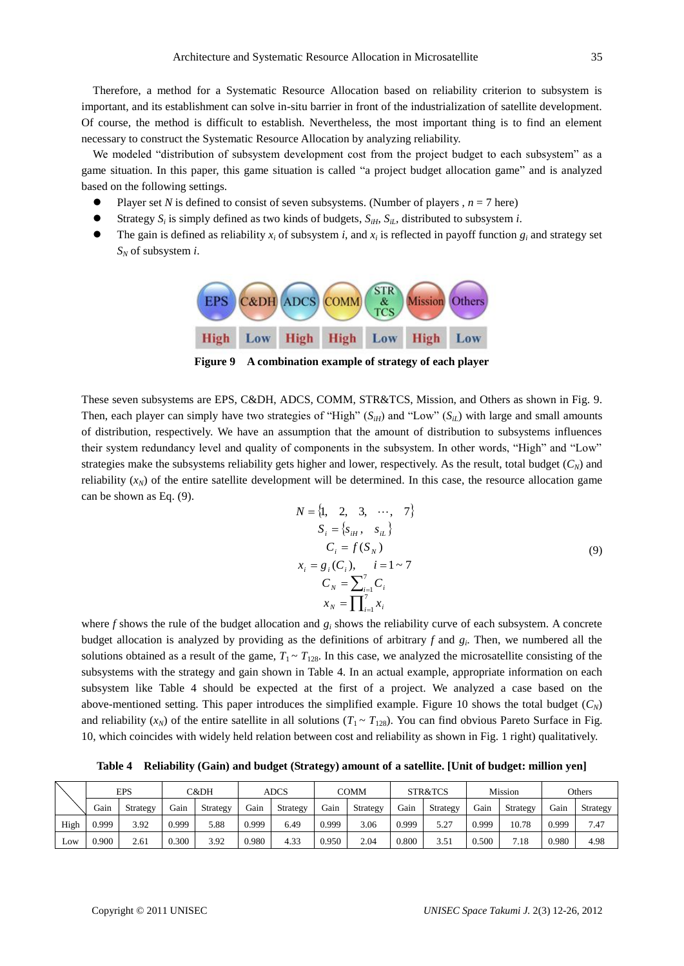Therefore, a method for a Systematic Resource Allocation based on reliability criterion to subsystem is important, and its establishment can solve in-situ barrier in front of the industrialization of satellite development. Of course, the method is difficult to establish. Nevertheless, the most important thing is to find an element necessary to construct the Systematic Resource Allocation by analyzing reliability.

We modeled "distribution of subsystem development cost from the project budget to each subsystem" as a game situation. In this paper, this game situation is called "a project budget allocation game" and is analyzed based on the following settings.

- Player set *N* is defined to consist of seven subsystems. (Number of players ,  $n = 7$  here)
- Strategy  $S_i$  is simply defined as two kinds of budgets,  $S_{iH}$ ,  $S_{iL}$ , distributed to subsystem *i*.
- The gain is defined as reliability  $x_i$  of subsystem *i*, and  $x_i$  is reflected in payoff function  $g_i$  and strategy set *S<sup>N</sup>* of subsystem *i*.



**Figure 9 A combination example of strategy of each player**

These seven subsystems are EPS, C&DH, ADCS, COMM, STR&TCS, Mission, and Others as shown in Fig. 9. Then, each player can simply have two strategies of "High"  $(S_{iH})$  and "Low"  $(S_{iL})$  with large and small amounts of distribution, respectively. We have an assumption that the amount of distribution to subsystems influences their system redundancy level and quality of components in the subsystem. In other words, "High" and "Low" strategies make the subsystems reliability gets higher and lower, respectively. As the result, total budget  $(C_N)$  and reliability  $(x<sub>N</sub>)$  of the entire satellite development will be determined. In this case, the resource allocation game can be shown as Eq. (9).

$$
N = \{1, 2, 3, \cdots, 7\}
$$
  
\n
$$
S_i = \{s_{iH}, s_{iL}\}
$$
  
\n
$$
C_i = f(S_N)
$$
  
\n
$$
x_i = g_i(C_i), \quad i = 1 \sim 7
$$
  
\n
$$
C_N = \sum_{i=1}^7 C_i
$$
  
\n
$$
x_N = \prod_{i=1}^7 x_i
$$
 (9)

where *f* shows the rule of the budget allocation and *g<sup>i</sup>* shows the reliability curve of each subsystem. A concrete budget allocation is analyzed by providing as the definitions of arbitrary *f* and *g<sup>i</sup>* . Then, we numbered all the solutions obtained as a result of the game,  $T_1 \sim T_{128}$ . In this case, we analyzed the microsatellite consisting of the subsystems with the strategy and gain shown in Table 4. In an actual example, appropriate information on each subsystem like Table 4 should be expected at the first of a project. We analyzed a case based on the above-mentioned setting. This paper introduces the simplified example. Figure 10 shows the total budget  $(C_N)$ and reliability  $(x_N)$  of the entire satellite in all solutions  $(T_1 \sim T_{128})$ . You can find obvious Pareto Surface in Fig. 10, which coincides with widely held relation between cost and reliability as shown in Fig. 1 right) qualitatively.

**Table 4 Reliability (Gain) and budget (Strategy) amount of a satellite. [Unit of budget: million yen]**

|      | EPS   |          | C&DH  |          | ADCS  |          | COMM  |          | STR&TCS |          | Mission |          | Others |                 |
|------|-------|----------|-------|----------|-------|----------|-------|----------|---------|----------|---------|----------|--------|-----------------|
|      | Gain  | Strategy | Gain  | Strategy | Gain  | Strategy | Gain  | Strategy | Gain    | Strategy | Gain    | Strategy | Gain   | <b>Strategy</b> |
| High | 0.999 | 3.92     | 0.999 | 5.88     | 0.999 | 6.49     | 0.999 | 3.06     | 0.999   | 5.27     | 0.999   | 10.78    | 0.999  | 7.47            |
| LOW  | 0.900 | 2.61     | 0.300 | 3.92     | 0.980 | 4.33     | 0.950 | 2.04     | 0.800   | 3.51     | 0.500   | 7.18     | 0.980  | 4.98            |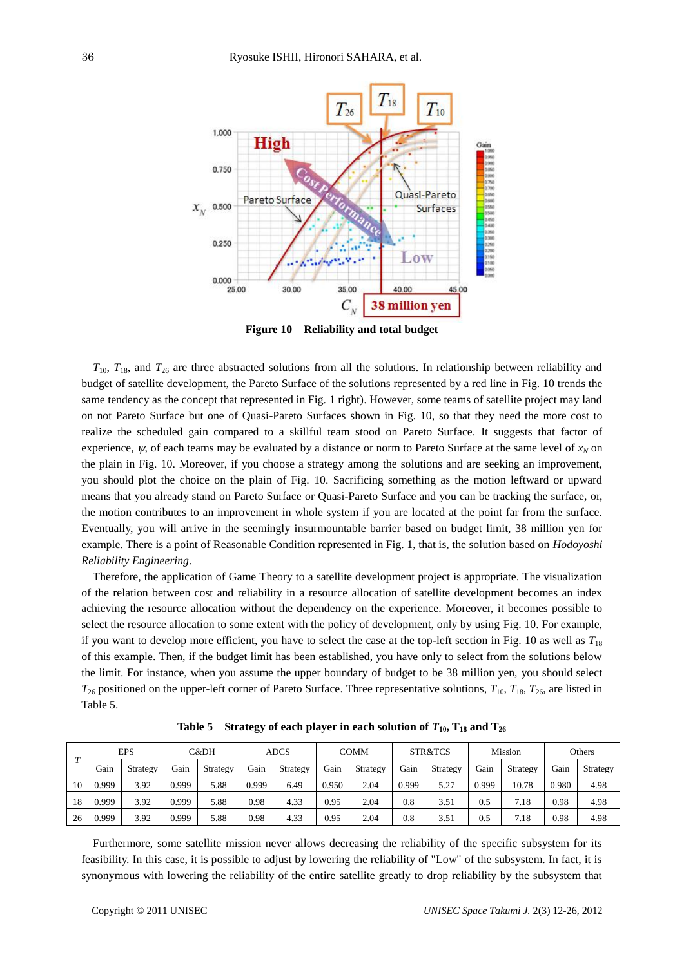

**Figure 10 Reliability and total budget**

 $T_{10}$ ,  $T_{18}$ , and  $T_{26}$  are three abstracted solutions from all the solutions. In relationship between reliability and budget of satellite development, the Pareto Surface of the solutions represented by a red line in Fig. 10 trends the same tendency as the concept that represented in Fig. 1 right). However, some teams of satellite project may land on not Pareto Surface but one of Quasi-Pareto Surfaces shown in Fig. 10, so that they need the more cost to realize the scheduled gain compared to a skillful team stood on Pareto Surface. It suggests that factor of experience,  $\psi$ , of each teams may be evaluated by a distance or norm to Pareto Surface at the same level of  $x_N$  on the plain in Fig. 10. Moreover, if you choose a strategy among the solutions and are seeking an improvement, you should plot the choice on the plain of Fig. 10. Sacrificing something as the motion leftward or upward means that you already stand on Pareto Surface or Quasi-Pareto Surface and you can be tracking the surface, or, the motion contributes to an improvement in whole system if you are located at the point far from the surface. Eventually, you will arrive in the seemingly insurmountable barrier based on budget limit, 38 million yen for example. There is a point of Reasonable Condition represented in Fig. 1, that is, the solution based on *Hodoyoshi Reliability Engineering*.

Therefore, the application of Game Theory to a satellite development project is appropriate. The visualization of the relation between cost and reliability in a resource allocation of satellite development becomes an index achieving the resource allocation without the dependency on the experience. Moreover, it becomes possible to select the resource allocation to some extent with the policy of development, only by using Fig. 10. For example, if you want to develop more efficient, you have to select the case at the top-left section in Fig. 10 as well as  $T_{18}$ of this example. Then, if the budget limit has been established, you have only to select from the solutions below the limit. For instance, when you assume the upper boundary of budget to be 38 million yen, you should select  $T_{26}$  positioned on the upper-left corner of Pareto Surface. Three representative solutions,  $T_{10}$ ,  $T_{18}$ ,  $T_{26}$ , are listed in Table 5.

| $\mathbf{r}$ | <b>EPS</b> |          | C&DH  |          | <b>ADCS</b> |          | <b>COMM</b> |          | STR&TCS  |          | Mission |          | Others |          |
|--------------|------------|----------|-------|----------|-------------|----------|-------------|----------|----------|----------|---------|----------|--------|----------|
|              | Gain       | Strategy | Gain  | Strategy | Gain        | Strategy | Gain        | Strategy | Gain     | Strategy | Gain    | Strategy | Gain   | Strategy |
| 10           | 0.999      | 3.92     | 0.999 | 5.88     | 0.999       | 6.49     | 0.950       | 2.04     | 0.999    | 5.27     | 0.999   | 10.78    | 0.980  | 4.98     |
| 18           | 0.999      | 3.92     | 0.999 | 5.88     | 0.98        | 4.33     | 0.95        | 2.04     | $_{0.8}$ | 3.51     | 0.5     | 7.18     | 0.98   | 4.98     |
| 26           | 0.999      | 3.92     | 0.999 | 5.88     | 0.98        | 4.33     | 0.95        | 2.04     | $_{0.8}$ | 3.51     | 0.5     | 7.18     | 0.98   | 4.98     |

**Table 5** Strategy of each player in each solution of  $T_{10}$ ,  $T_{18}$  and  $T_{26}$ 

Furthermore, some satellite mission never allows decreasing the reliability of the specific subsystem for its feasibility. In this case, it is possible to adjust by lowering the reliability of "Low" of the subsystem. In fact, it is synonymous with lowering the reliability of the entire satellite greatly to drop reliability by the subsystem that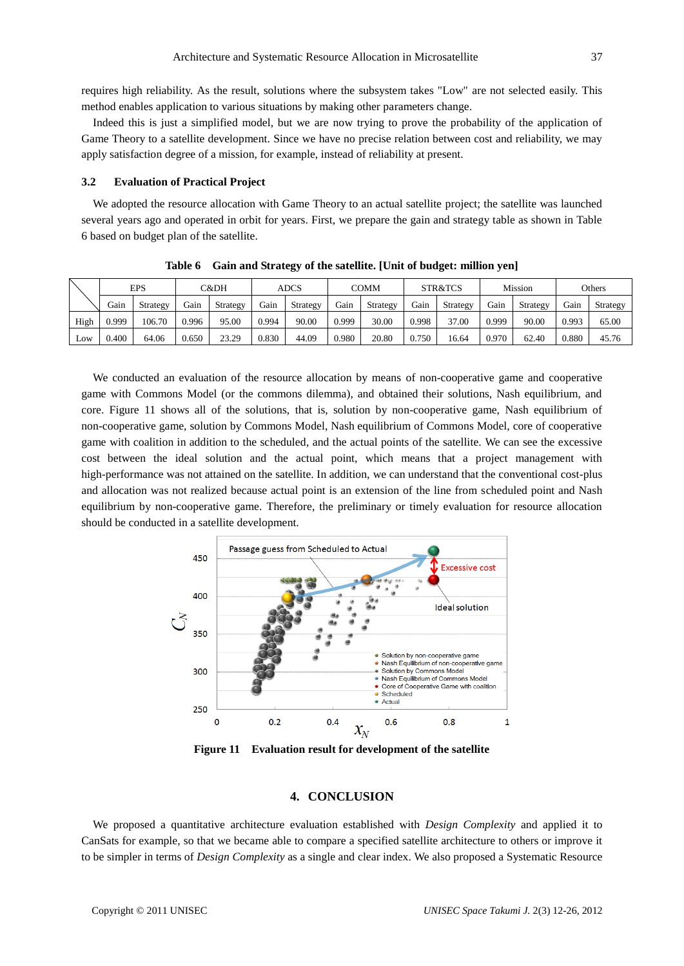requires high reliability. As the result, solutions where the subsystem takes "Low" are not selected easily. This method enables application to various situations by making other parameters change.

Indeed this is just a simplified model, but we are now trying to prove the probability of the application of Game Theory to a satellite development. Since we have no precise relation between cost and reliability, we may apply satisfaction degree of a mission, for example, instead of reliability at present.

#### **3.2 Evaluation of Practical Project**

We adopted the resource allocation with Game Theory to an actual satellite project; the satellite was launched several years ago and operated in orbit for years. First, we prepare the gain and strategy table as shown in Table 6 based on budget plan of the satellite.

|      | <b>EPS</b> |          | C&DH  |          | ADCS  |          | COMM  |          | STR&TCS |          | Mission |          | Others |          |
|------|------------|----------|-------|----------|-------|----------|-------|----------|---------|----------|---------|----------|--------|----------|
|      | Gain       | Strategy | Gain  | Strategy | Gain  | Strategy | Gain  | Strategy | Gain    | Strategy | Gain    | Strategy | Gain   | Strategy |
| High | 0.999      | 106.70   | 0.996 | 95.00    | 0.994 | 90.00    | 0.999 | 30.00    | 0.998   | 37.00    | 0.999   | 90.00    | 0.993  | 65.00    |
| Low  | 0.400      | 64.06    | 0.650 | 23.29    | 0.830 | 44.09    | 0.980 | 20.80    | 0.750   | 16.64    | 0.970   | 62.40    | 0.880  | 45.76    |

**Table 6 Gain and Strategy of the satellite. [Unit of budget: million yen]**

We conducted an evaluation of the resource allocation by means of non-cooperative game and cooperative game with Commons Model (or the commons dilemma), and obtained their solutions, Nash equilibrium, and core. Figure 11 shows all of the solutions, that is, solution by non-cooperative game, Nash equilibrium of non-cooperative game, solution by Commons Model, Nash equilibrium of Commons Model, core of cooperative game with coalition in addition to the scheduled, and the actual points of the satellite. We can see the excessive cost between the ideal solution and the actual point, which means that a project management with high-performance was not attained on the satellite. In addition, we can understand that the conventional cost-plus and allocation was not realized because actual point is an extension of the line from scheduled point and Nash equilibrium by non-cooperative game. Therefore, the preliminary or timely evaluation for resource allocation should be conducted in a satellite development.



**Figure 11 Evaluation result for development of the satellite**

# **4. CONCLUSION**

We proposed a quantitative architecture evaluation established with *Design Complexity* and applied it to CanSats for example, so that we became able to compare a specified satellite architecture to others or improve it to be simpler in terms of *Design Complexity* as a single and clear index. We also proposed a Systematic Resource